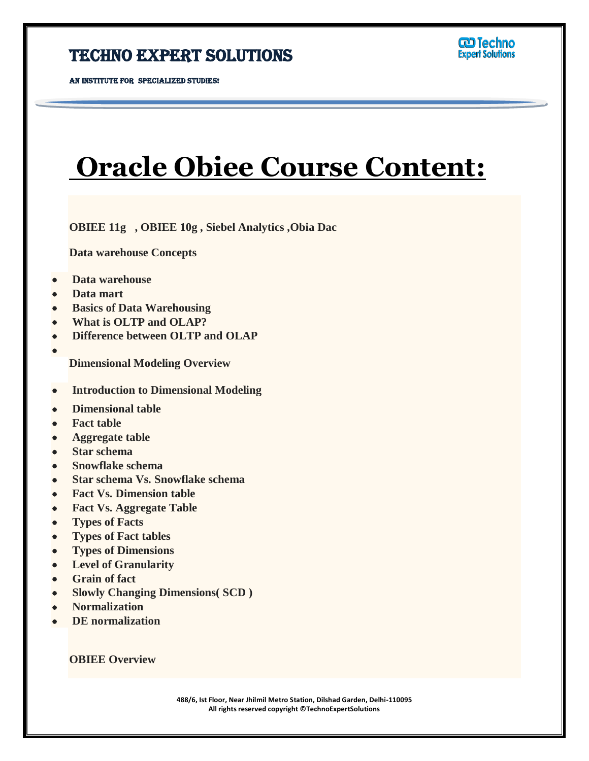AN INSTITUTE FOR SPECIALIZED STUDIES!

# **Oracle Obiee Course Content:**

Ī

**OBIEE 11g , OBIEE 10g , Siebel Analytics ,Obia Dac**

**Data warehouse Concepts** 

- **Data warehouse**
- **Data mart**
- **Basics of Data Warehousing**
- **What is OLTP and OLAP?**
- **Difference between OLTP and OLAP**
- **Dimensional Modeling Overview**
- **Introduction to Dimensional Modeling**
- **Dimensional table**
- **Fact table**
- **Aggregate table**
- **Star schema**
- **Snowflake schema**
- **Star schema Vs. Snowflake schema**
- **Fact Vs. Dimension table**
- **Fact Vs. Aggregate Table**
- **Types of Facts**
- **Types of Fact tables**
- **Types of Dimensions**
- **Level of Granularity**
- **Grain of fact**
- **Slowly Changing Dimensions( SCD )**
- **Normalization**
- **DE normalization**

**OBIEE Overview**

**488/6, Ist Floor, Near Jhilmil Metro Station, Dilshad Garden, Delhi-110095 All rights reserved copyright ©TechnoExpertSolutions**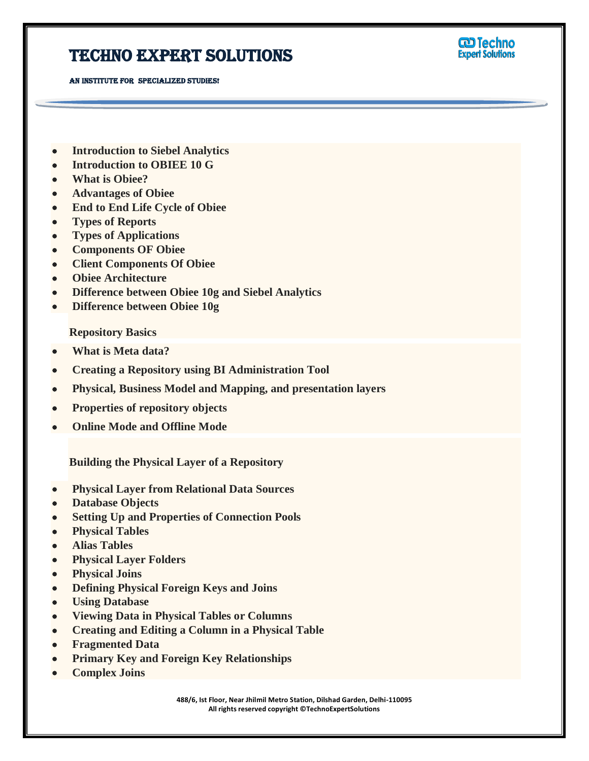AN INSTITUTE FOR SPECIALIZED STUDIES!



- **Introduction to Siebel Analytics**
- **Introduction to OBIEE 10 G**
- **What is Obiee?**
- **Advantages of Obiee**
- **End to End Life Cycle of Obiee**
- **Types of Reports**
- **Types of Applications**
- **Components OF Obiee**
- **Client Components Of Obiee**
- **Obiee Architecture**
- **Difference between Obiee 10g and Siebel Analytics**
- **Difference between Obiee 10g**

**Repository Basics**

- **What is Meta data?**
- **Creating a Repository using BI Administration Tool**
- **Physical, Business Model and Mapping, and presentation layers**
- **Properties of repository objects**
- **Online Mode and Offline Mode**

**Building the Physical Layer of a Repository**

- **Physical Layer from Relational Data Sources**
- **Database Objects**
- **Setting Up and Properties of Connection Pools**
- **Physical Tables**
- **Alias Tables**
- **Physical Layer Folders**
- **Physical Joins**
- **Defining Physical Foreign Keys and Joins**
- **Using Database**
- **Viewing Data in Physical Tables or Columns**
- **Creating and Editing a Column in a Physical Table**
- **Fragmented Data**
- **Primary Key and Foreign Key Relationships**
- **Complex Joins**

**488/6, Ist Floor, Near Jhilmil Metro Station, Dilshad Garden, Delhi-110095 All rights reserved copyright ©TechnoExpertSolutions**

Ī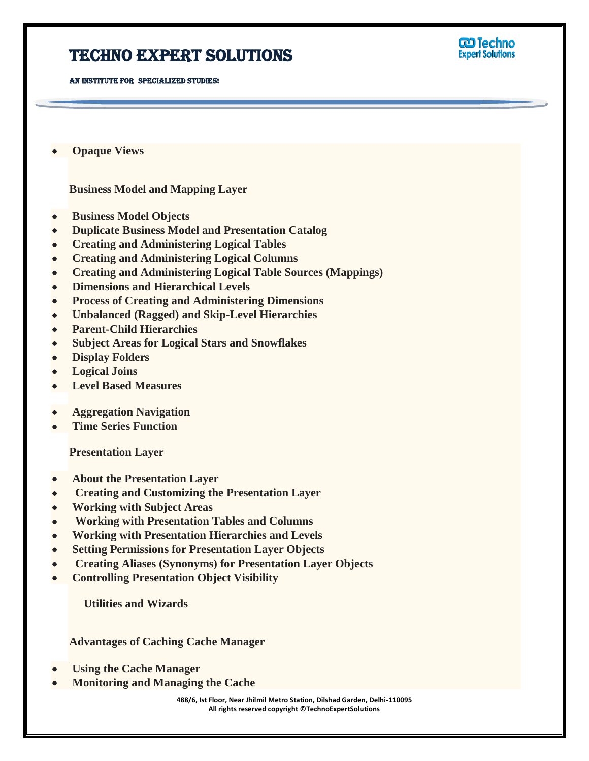AN INSTITUTE FOR SPECIALIZED STUDIES!



 **Opaque Views**

**Business Model and Mapping Layer**

- **Business Model Objects**
- **Duplicate Business Model and Presentation Catalog**
- **Creating and Administering Logical Tables**
- **Creating and Administering Logical Columns**
- **Creating and Administering Logical Table Sources (Mappings)**

Ī

- **Dimensions and Hierarchical Levels**
- **Process of Creating and Administering Dimensions**
- **Unbalanced (Ragged) and Skip-Level Hierarchies**
- **Parent-Child Hierarchies**
- **Subject Areas for Logical Stars and Snowflakes**
- **Display Folders**
- **Logical Joins**
- **Level Based Measures**
- **Aggregation Navigation**
- **Time Series Function**

**Presentation Layer**

- **About the Presentation Layer**
- **Creating and Customizing the Presentation Layer**
- **Working with Subject Areas**
- **Working with Presentation Tables and Columns**
- **Working with Presentation Hierarchies and Levels**
- **Setting Permissions for Presentation Layer Objects**
- **Creating Aliases (Synonyms) for Presentation Layer Objects**
- **Controlling Presentation Object Visibility**

 **Utilities and Wizards**

**Advantages of Caching Cache Manager**

- **Using the Cache Manager**
- **Monitoring and Managing the Cache**

**488/6, Ist Floor, Near Jhilmil Metro Station, Dilshad Garden, Delhi-110095 All rights reserved copyright ©TechnoExpertSolutions**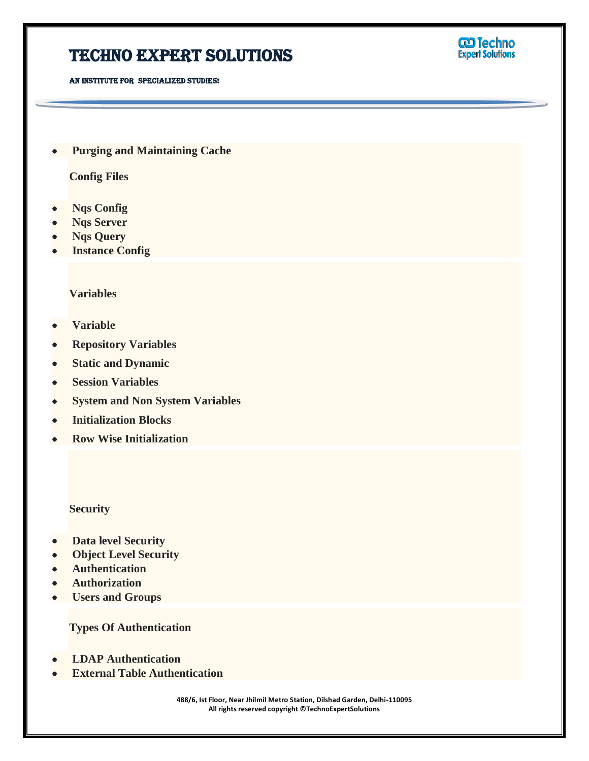## TECHNO EXPERT SOLUTIONS



AN INSTITUTE FOR SPECIALIZED STUDIES!

 **Purging and Maintaining Cache**

**Config Files**

- **Nqs Config**
- **Nqs Server**
- **Nqs Query**
- **Instance Config**

#### **Variables**

- **Variable**
- **Repository Variables**
- **Static and Dynamic**
- **Session Variables**
- **System and Non System Variables**
- **Initialization Blocks**
- **Row Wise Initialization**

#### **Security**

- **Data level Security**
- **Object Level Security**
- **Authentication**
- **Authorization**
- **Users and Groups**

**Types Of Authentication**

- **LDAP Authentication**
- **External Table Authentication**

**488/6, Ist Floor, Near Jhilmil Metro Station, Dilshad Garden, Delhi-110095 All rights reserved copyright ©TechnoExpertSolutions**

Ī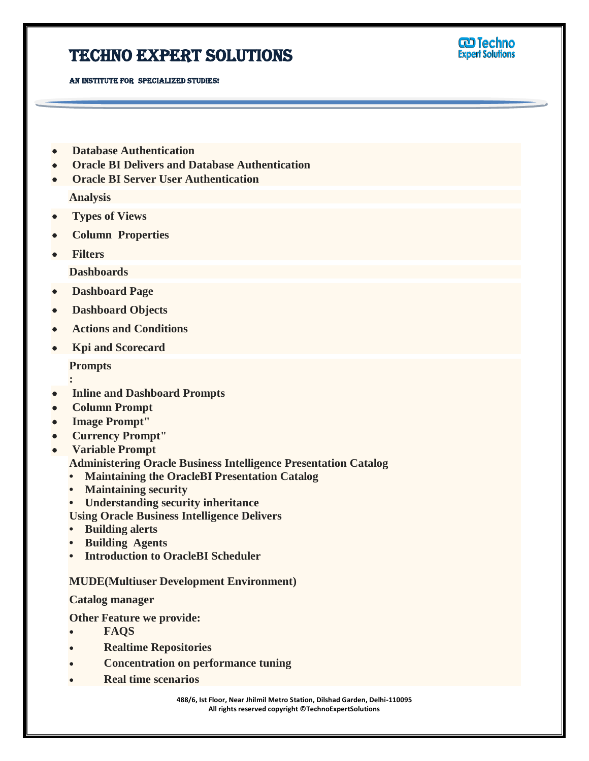AN INSTITUTE FOR SPECIALIZED STUDIES!

**CD** Techno **Expert Solutions** 

- **Database Authentication**
- **Oracle BI Delivers and Database Authentication**
- **Oracle BI Server User Authentication**

**Analysis**

- **Types of Views**
- **Column Properties**
- **Filters**

**Dashboards**

- **Dashboard Page**
- **Dashboard Objects**
- **Actions and Conditions**
- **Kpi and Scorecard**

**Prompts**

- **: Inline and Dashboard Prompts**
- **Column Prompt**
- **Image Prompt"**
- **Currency Prompt"**
- **Variable Prompt**
	- **Administering Oracle Business Intelligence Presentation Catalog**
	- **Maintaining the OracleBI Presentation Catalog**
	- **Maintaining security**
	- **Understanding security inheritance**

**Using Oracle Business Intelligence Delivers**

- **Building alerts**
- **Building Agents**
- **Introduction to OracleBI Scheduler**

### **MUDE(Multiuser Development Environment)**

**Catalog manager**

- **Other Feature we provide:**
- **FAQS**
- **Realtime Repositories**
- **Concentration on performance tuning**
- **Real time scenarios**

**488/6, Ist Floor, Near Jhilmil Metro Station, Dilshad Garden, Delhi-110095 All rights reserved copyright ©TechnoExpertSolutions**

Ī